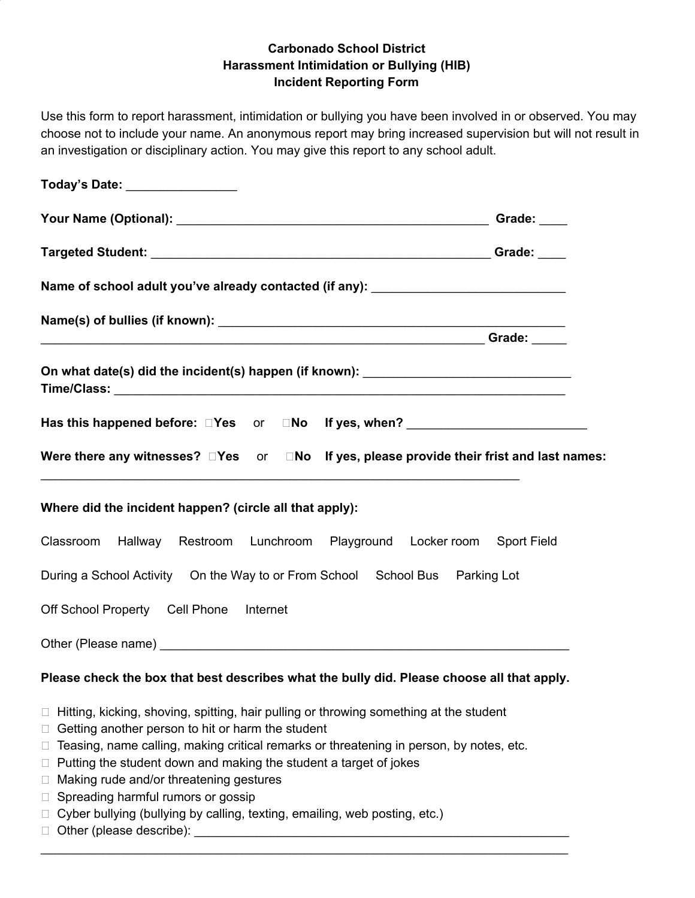## **Carbonado School District Harassment Intimidation or Bullying (HIB) Incident Reporting Form**

Use this form to report harassment, intimidation or bullying you have been involved in or observed. You may choose not to include your name. An anonymous report may bring increased supervision but will not result in an investigation or disciplinary action. You may give this report to any school adult.

| Today's Date: ________________                                                                                                                                                                                                                                                                                                                                                                                                                                                                                                                               |             |
|--------------------------------------------------------------------------------------------------------------------------------------------------------------------------------------------------------------------------------------------------------------------------------------------------------------------------------------------------------------------------------------------------------------------------------------------------------------------------------------------------------------------------------------------------------------|-------------|
|                                                                                                                                                                                                                                                                                                                                                                                                                                                                                                                                                              | Grade: ____ |
|                                                                                                                                                                                                                                                                                                                                                                                                                                                                                                                                                              |             |
| Name of school adult you've already contacted (if any): ________________________                                                                                                                                                                                                                                                                                                                                                                                                                                                                             |             |
|                                                                                                                                                                                                                                                                                                                                                                                                                                                                                                                                                              |             |
| On what date(s) did the incident(s) happen (if known): _________________________                                                                                                                                                                                                                                                                                                                                                                                                                                                                             |             |
| Has this happened before: DYes or DNo If yes, when? ____________________________                                                                                                                                                                                                                                                                                                                                                                                                                                                                             |             |
| Were there any witnesses? DYes or DNo If yes, please provide their frist and last names:                                                                                                                                                                                                                                                                                                                                                                                                                                                                     |             |
| Where did the incident happen? (circle all that apply):                                                                                                                                                                                                                                                                                                                                                                                                                                                                                                      |             |
| Classroom Hallway Restroom Lunchroom Playground Locker room Sport Field                                                                                                                                                                                                                                                                                                                                                                                                                                                                                      |             |
| During a School Activity  On the Way to or From School  School Bus  Parking Lot                                                                                                                                                                                                                                                                                                                                                                                                                                                                              |             |
| Off School Property Cell Phone Internet                                                                                                                                                                                                                                                                                                                                                                                                                                                                                                                      |             |
|                                                                                                                                                                                                                                                                                                                                                                                                                                                                                                                                                              |             |
| Please check the box that best describes what the bully did. Please choose all that apply.                                                                                                                                                                                                                                                                                                                                                                                                                                                                   |             |
| $\Box$ Hitting, kicking, shoving, spitting, hair pulling or throwing something at the student<br>Getting another person to hit or harm the student<br>$\Box$<br>Teasing, name calling, making critical remarks or threatening in person, by notes, etc.<br>⊔<br>Putting the student down and making the student a target of jokes<br>⊔<br>Making rude and/or threatening gestures<br>□<br>Spreading harmful rumors or gossip<br>□<br>Cyber bullying (bullying by calling, texting, emailing, web posting, etc.)<br>$\Box$<br>$\Box$ Other (please describe): |             |

\_\_\_\_\_\_\_\_\_\_\_\_\_\_\_\_\_\_\_\_\_\_\_\_\_\_\_\_\_\_\_\_\_\_\_\_\_\_\_\_\_\_\_\_\_\_\_\_\_\_\_\_\_\_\_\_\_\_\_\_\_\_\_\_\_\_\_\_\_\_\_\_\_\_\_\_